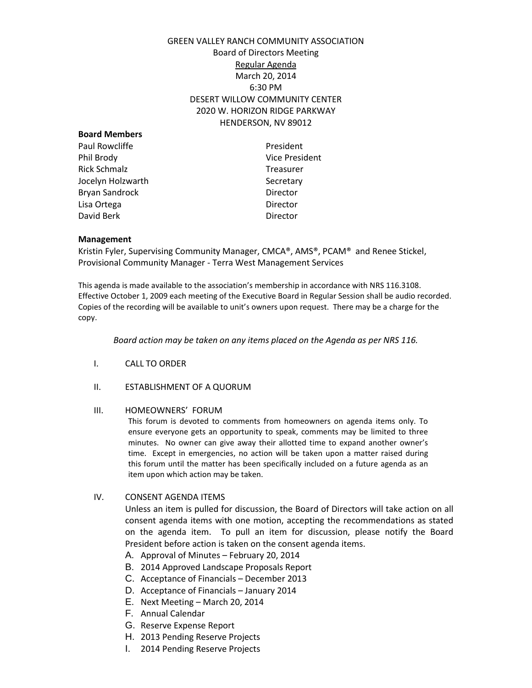# GREEN VALLEY RANCH COMMUNITY ASSOCIATION Board of Directors Meeting Regular Agenda March 20, 2014 6:30 PM DESERT WILLOW COMMUNITY CENTER 2020 W. HORIZON RIDGE PARKWAY HENDERSON, NV 89012

| <b>Board Members</b> |                       |
|----------------------|-----------------------|
| Paul Rowcliffe       | President             |
| Phil Brody           | <b>Vice President</b> |
| <b>Rick Schmalz</b>  | <b>Treasurer</b>      |
| Jocelyn Holzwarth    | Secretary             |
| Bryan Sandrock       | Director              |
| Lisa Ortega          | Director              |
| David Berk           | Director              |
|                      |                       |

### **Management**

Kristin Fyler, Supervising Community Manager, CMCA®, AMS®, PCAM® and Renee Stickel, Provisional Community Manager - Terra West Management Services

This agenda is made available to the association's membership in accordance with NRS 116.3108. Effective October 1, 2009 each meeting of the Executive Board in Regular Session shall be audio recorded. Copies of the recording will be available to unit's owners upon request. There may be a charge for the copy.

*Board action may be taken on any items placed on the Agenda as per NRS 116.*

- I. CALL TO ORDER
- II. ESTABLISHMENT OF A QUORUM

#### III. HOMEOWNERS' FORUM

This forum is devoted to comments from homeowners on agenda items only. To ensure everyone gets an opportunity to speak, comments may be limited to three minutes. No owner can give away their allotted time to expand another owner's time. Except in emergencies, no action will be taken upon a matter raised during this forum until the matter has been specifically included on a future agenda as an item upon which action may be taken.

IV. CONSENT AGENDA ITEMS

Unless an item is pulled for discussion, the Board of Directors will take action on all consent agenda items with one motion, accepting the recommendations as stated on the agenda item. To pull an item for discussion, please notify the Board President before action is taken on the consent agenda items.

- A. Approval of Minutes February 20, 2014
- B. 2014 Approved Landscape Proposals Report
- C. Acceptance of Financials December 2013
- D. Acceptance of Financials January 2014
- E. Next Meeting March 20, 2014
- F. Annual Calendar
- G. Reserve Expense Report
- H. 2013 Pending Reserve Projects
- I. 2014 Pending Reserve Projects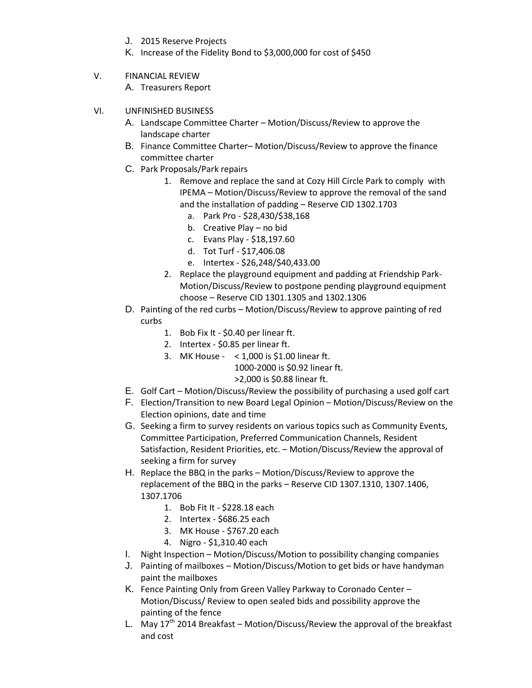- J. 2015 Reserve Projects
- K. Increase of the Fidelity Bond to \$3,000,000 for cost of \$450
- V. FINANCIAL REVIEW
	- A. Treasurers Report
- VI. UNFINISHED BUSINESS
	- A. Landscape Committee Charter Motion/Discuss/Review to approve the landscape charter
	- B. Finance Committee Charter– Motion/Discuss/Review to approve the finance committee charter
	- C. Park Proposals/Park repairs
		- 1. Remove and replace the sand at Cozy Hill Circle Park to comply with IPEMA – Motion/Discuss/Review to approve the removal of the sand and the installation of padding – Reserve CID 1302.1703
			- a. Park Pro \$28,430/\$38,168
			- b. Creative Play no bid
			- c. Evans Play \$18,197.60
			- d. Tot Turf \$17,406.08
			- e. Intertex \$26,248/\$40,433.00
		- 2. Replace the playground equipment and padding at Friendship Park-Motion/Discuss/Review to postpone pending playground equipment choose – Reserve CID 1301.1305 and 1302.1306
	- D. Painting of the red curbs Motion/Discuss/Review to approve painting of red curbs
		- 1. Bob Fix It \$0.40 per linear ft.
		- 2. Intertex \$0.85 per linear ft.
		- 3. MK House < 1,000 is \$1.00 linear ft.

1000-2000 is \$0.92 linear ft.

- >2,000 is \$0.88 linear ft.
- E. Golf Cart Motion/Discuss/Review the possibility of purchasing a used golf cart
- F. Election/Transition to new Board Legal Opinion Motion/Discuss/Review on the Election opinions, date and time
- G. Seeking a firm to survey residents on various topics such as Community Events, Committee Participation, Preferred Communication Channels, Resident Satisfaction, Resident Priorities, etc. – Motion/Discuss/Review the approval of seeking a firm for survey
- H. Replace the BBQ in the parks Motion/Discuss/Review to approve the replacement of the BBQ in the parks – Reserve CID 1307.1310, 1307.1406, 1307.1706
	- 1. Bob Fit It \$228.18 each
	- 2. Intertex \$686.25 each
	- 3. MK House \$767.20 each
	- 4. Nigro \$1,310.40 each
- I. Night Inspection Motion/Discuss/Motion to possibility changing companies
- J. Painting of mailboxes Motion/Discuss/Motion to get bids or have handyman paint the mailboxes
- K. Fence Painting Only from Green Valley Parkway to Coronado Center Motion/Discuss/ Review to open sealed bids and possibility approve the painting of the fence
- L. May  $17<sup>th</sup>$  2014 Breakfast Motion/Discuss/Review the approval of the breakfast and cost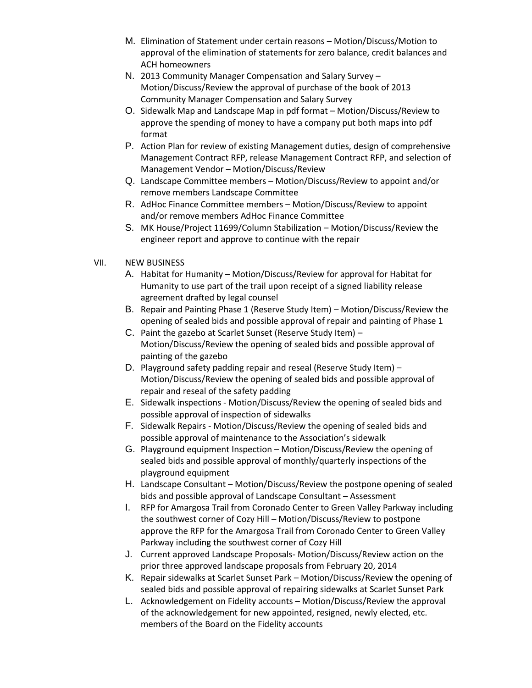- M. Elimination of Statement under certain reasons Motion/Discuss/Motion to approval of the elimination of statements for zero balance, credit balances and ACH homeowners
- N. 2013 Community Manager Compensation and Salary Survey Motion/Discuss/Review the approval of purchase of the book of 2013 Community Manager Compensation and Salary Survey
- O. Sidewalk Map and Landscape Map in pdf format Motion/Discuss/Review to approve the spending of money to have a company put both maps into pdf format
- P. Action Plan for review of existing Management duties, design of comprehensive Management Contract RFP, release Management Contract RFP, and selection of Management Vendor – Motion/Discuss/Review
- Q. Landscape Committee members Motion/Discuss/Review to appoint and/or remove members Landscape Committee
- R. AdHoc Finance Committee members Motion/Discuss/Review to appoint and/or remove members AdHoc Finance Committee
- S. MK House/Project 11699/Column Stabilization Motion/Discuss/Review the engineer report and approve to continue with the repair

## VII. NEW BUSINESS

- A. Habitat for Humanity Motion/Discuss/Review for approval for Habitat for Humanity to use part of the trail upon receipt of a signed liability release agreement drafted by legal counsel
- B. Repair and Painting Phase 1 (Reserve Study Item) Motion/Discuss/Review the opening of sealed bids and possible approval of repair and painting of Phase 1
- C. Paint the gazebo at Scarlet Sunset (Reserve Study Item) Motion/Discuss/Review the opening of sealed bids and possible approval of painting of the gazebo
- D. Playground safety padding repair and reseal (Reserve Study Item) Motion/Discuss/Review the opening of sealed bids and possible approval of repair and reseal of the safety padding
- E. Sidewalk inspections Motion/Discuss/Review the opening of sealed bids and possible approval of inspection of sidewalks
- F. Sidewalk Repairs Motion/Discuss/Review the opening of sealed bids and possible approval of maintenance to the Association's sidewalk
- G. Playground equipment Inspection Motion/Discuss/Review the opening of sealed bids and possible approval of monthly/quarterly inspections of the playground equipment
- H. Landscape Consultant Motion/Discuss/Review the postpone opening of sealed bids and possible approval of Landscape Consultant – Assessment
- I. RFP for Amargosa Trail from Coronado Center to Green Valley Parkway including the southwest corner of Cozy Hill – Motion/Discuss/Review to postpone approve the RFP for the Amargosa Trail from Coronado Center to Green Valley Parkway including the southwest corner of Cozy Hill
- J. Current approved Landscape Proposals- Motion/Discuss/Review action on the prior three approved landscape proposals from February 20, 2014
- K. Repair sidewalks at Scarlet Sunset Park Motion/Discuss/Review the opening of sealed bids and possible approval of repairing sidewalks at Scarlet Sunset Park
- L. Acknowledgement on Fidelity accounts Motion/Discuss/Review the approval of the acknowledgement for new appointed, resigned, newly elected, etc. members of the Board on the Fidelity accounts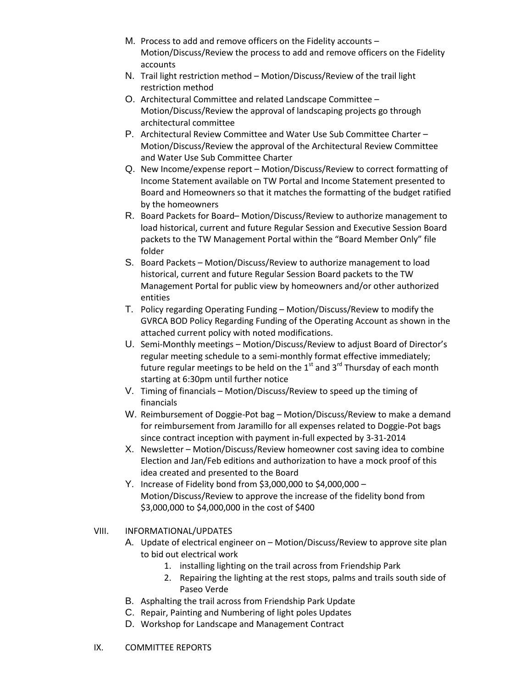- M. Process to add and remove officers on the Fidelity accounts Motion/Discuss/Review the process to add and remove officers on the Fidelity accounts
- N. Trail light restriction method Motion/Discuss/Review of the trail light restriction method
- O. Architectural Committee and related Landscape Committee Motion/Discuss/Review the approval of landscaping projects go through architectural committee
- P. Architectural Review Committee and Water Use Sub Committee Charter Motion/Discuss/Review the approval of the Architectural Review Committee and Water Use Sub Committee Charter
- Q. New Income/expense report Motion/Discuss/Review to correct formatting of Income Statement available on TW Portal and Income Statement presented to Board and Homeowners so that it matches the formatting of the budget ratified by the homeowners
- R. Board Packets for Board– Motion/Discuss/Review to authorize management to load historical, current and future Regular Session and Executive Session Board packets to the TW Management Portal within the "Board Member Only" file folder
- S. Board Packets Motion/Discuss/Review to authorize management to load historical, current and future Regular Session Board packets to the TW Management Portal for public view by homeowners and/or other authorized entities
- T. Policy regarding Operating Funding Motion/Discuss/Review to modify the GVRCA BOD Policy Regarding Funding of the Operating Account as shown in the attached current policy with noted modifications.
- U. Semi-Monthly meetings Motion/Discuss/Review to adjust Board of Director's regular meeting schedule to a semi-monthly format effective immediately; future regular meetings to be held on the  $1<sup>st</sup>$  and  $3<sup>rd</sup>$  Thursday of each month starting at 6:30pm until further notice
- V. Timing of financials Motion/Discuss/Review to speed up the timing of financials
- W. Reimbursement of Doggie-Pot bag Motion/Discuss/Review to make a demand for reimbursement from Jaramillo for all expenses related to Doggie-Pot bags since contract inception with payment in-full expected by 3-31-2014
- X. Newsletter Motion/Discuss/Review homeowner cost saving idea to combine Election and Jan/Feb editions and authorization to have a mock proof of this idea created and presented to the Board
- Y. Increase of Fidelity bond from \$3,000,000 to \$4,000,000 Motion/Discuss/Review to approve the increase of the fidelity bond from \$3,000,000 to \$4,000,000 in the cost of \$400
- VIII. INFORMATIONAL/UPDATES
	- A. Update of electrical engineer on Motion/Discuss/Review to approve site plan to bid out electrical work
		- 1. installing lighting on the trail across from Friendship Park
		- 2. Repairing the lighting at the rest stops, palms and trails south side of Paseo Verde
	- B. Asphalting the trail across from Friendship Park Update
	- C. Repair, Painting and Numbering of light poles Updates
	- D. Workshop for Landscape and Management Contract
- IX. COMMITTEE REPORTS